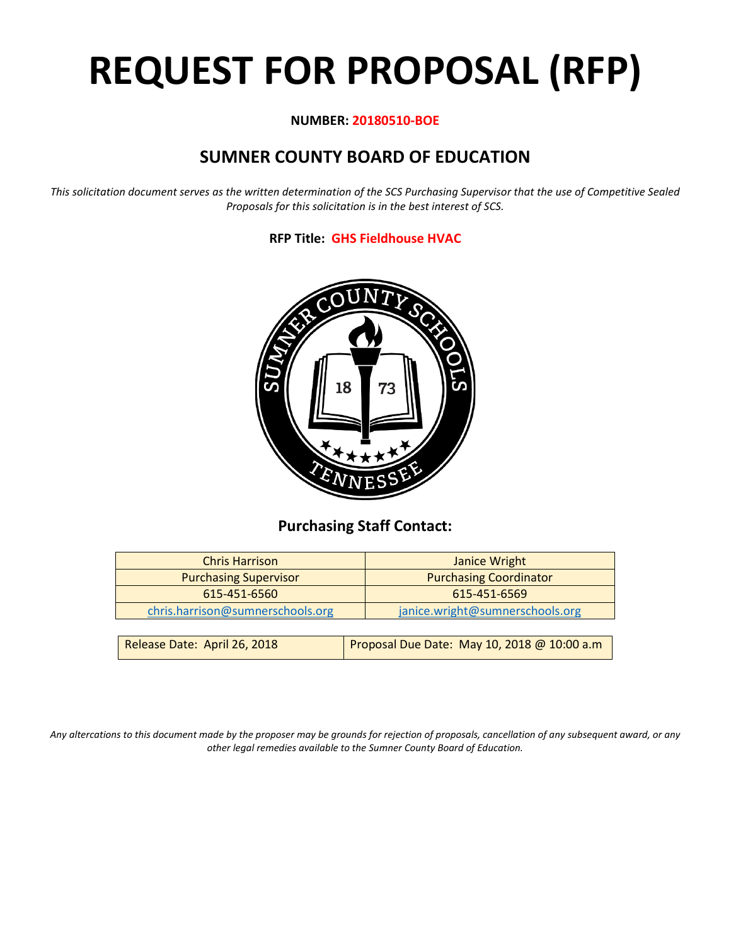# **REQUEST FOR PROPOSAL (RFP)**

# **NUMBER: 20180510-BOE**

# **SUMNER COUNTY BOARD OF EDUCATION**

*This solicitation document serves as the written determination of the SCS Purchasing Supervisor that the use of Competitive Sealed Proposals for this solicitation is in the best interest of SCS.*

# **RFP Title: GHS Fieldhouse HVAC**



# **Purchasing Staff Contact:**

| <b>Chris Harrison</b>            | Janice Wright                                |
|----------------------------------|----------------------------------------------|
| <b>Purchasing Supervisor</b>     | <b>Purchasing Coordinator</b>                |
| 615-451-6560                     | 615-451-6569                                 |
| chris.harrison@sumnerschools.org | janice.wright@sumnerschools.org              |
|                                  |                                              |
| Release Date: April 26, 2018     | Proposal Due Date: May 10, 2018 @ 10:00 a.m. |

*Any altercations to this document made by the proposer may be grounds for rejection of proposals, cancellation of any subsequent award, or any other legal remedies available to the Sumner County Board of Education.*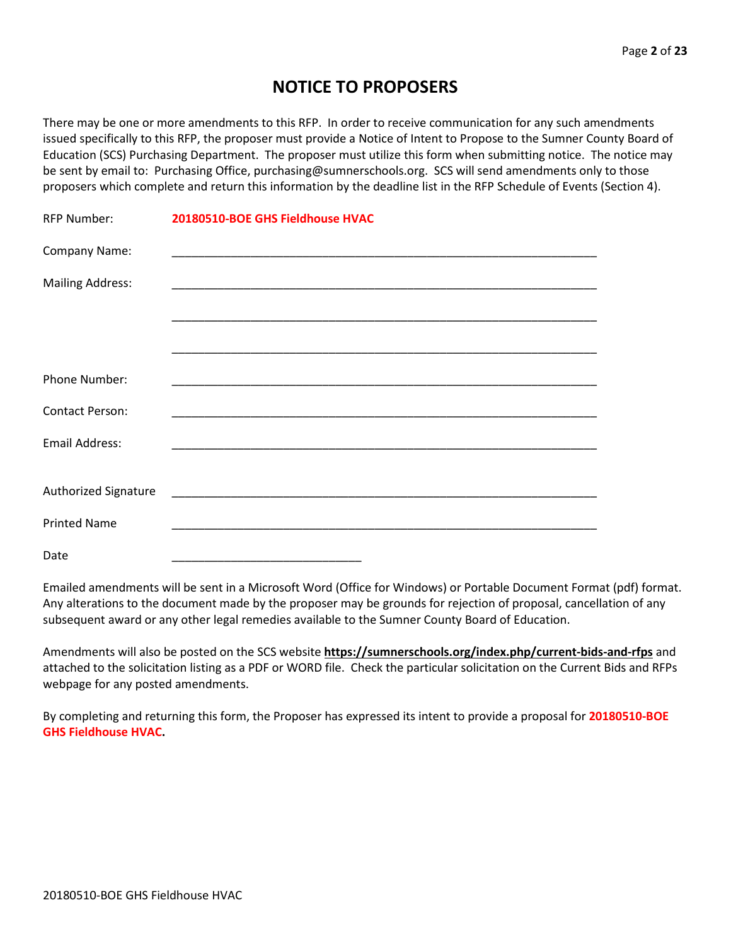# **NOTICE TO PROPOSERS**

There may be one or more amendments to this RFP. In order to receive communication for any such amendments issued specifically to this RFP, the proposer must provide a Notice of Intent to Propose to the Sumner County Board of Education (SCS) Purchasing Department. The proposer must utilize this form when submitting notice. The notice may be sent by email to: Purchasing Office, purchasing@sumnerschools.org. SCS will send amendments only to those proposers which complete and return this information by the deadline list in the RFP Schedule of Events (Section 4).

| <b>RFP Number:</b>      | 20180510-BOE GHS Fieldhouse HVAC |
|-------------------------|----------------------------------|
| Company Name:           |                                  |
| <b>Mailing Address:</b> |                                  |
|                         |                                  |
|                         |                                  |
| <b>Phone Number:</b>    |                                  |
| <b>Contact Person:</b>  |                                  |
| <b>Email Address:</b>   |                                  |
|                         |                                  |
| Authorized Signature    |                                  |
| <b>Printed Name</b>     |                                  |
| Date                    |                                  |

Emailed amendments will be sent in a Microsoft Word (Office for Windows) or Portable Document Format (pdf) format. Any alterations to the document made by the proposer may be grounds for rejection of proposal, cancellation of any subsequent award or any other legal remedies available to the Sumner County Board of Education.

Amendments will also be posted on the SCS website **https://sumnerschools.org/index.php/current-bids-and-rfps** and attached to the solicitation listing as a PDF or WORD file. Check the particular solicitation on the Current Bids and RFPs webpage for any posted amendments.

By completing and returning this form, the Proposer has expressed its intent to provide a proposal for **20180510-BOE GHS Fieldhouse HVAC.**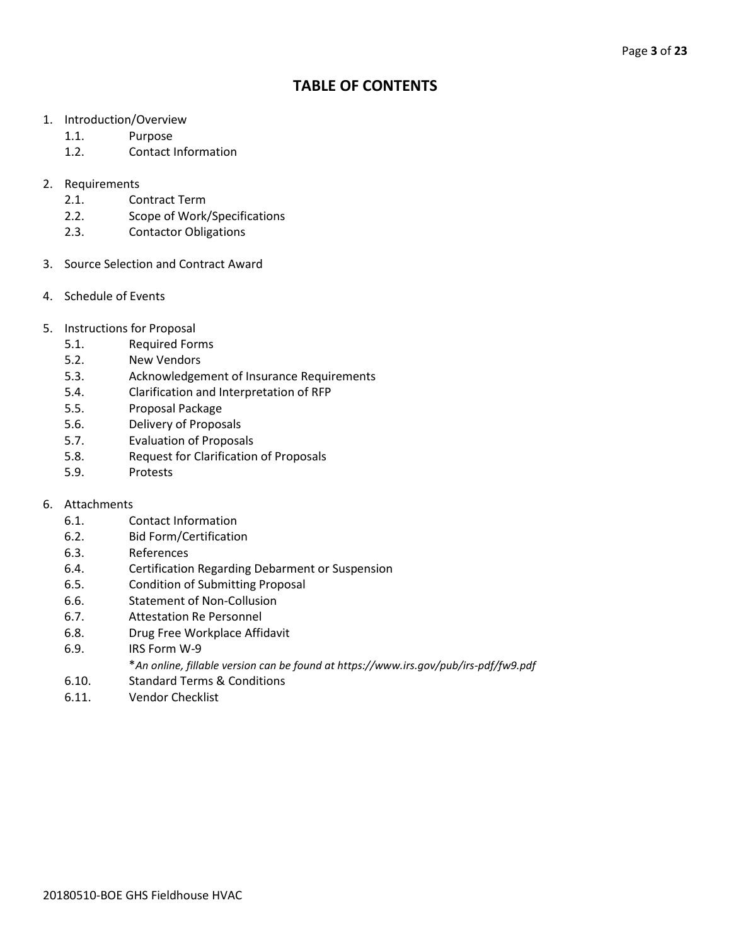# **TABLE OF CONTENTS**

- 1. Introduction/Overview
	- 1.1. Purpose
	- 1.2. Contact Information
- 2. Requirements
	- 2.1. Contract Term
	- 2.2. Scope of Work/Specifications
	- 2.3. Contactor Obligations
- 3. Source Selection and Contract Award
- 4. Schedule of Events
- 5. Instructions for Proposal
	- 5.1. Required Forms
	- 5.2. New Vendors
	- 5.3. Acknowledgement of Insurance Requirements
	- 5.4. Clarification and Interpretation of RFP
	- 5.5. Proposal Package
	- 5.6. Delivery of Proposals
	- 5.7. Evaluation of Proposals
	- 5.8. Request for Clarification of Proposals
	- 5.9. Protests

# 6. Attachments

- 6.1. Contact Information
- 6.2. Bid Form/Certification
- 6.3. References
- 6.4. Certification Regarding Debarment or Suspension
- 6.5. Condition of Submitting Proposal
- 6.6. Statement of Non-Collusion
- 6.7. Attestation Re Personnel
- 6.8. Drug Free Workplace Affidavit
- 6.9. IRS Form W-9
	- \**An online, fillable version can be found at https://www.irs.gov/pub/irs-pdf/fw9.pdf*
- 6.10. Standard Terms & Conditions
- 6.11. Vendor Checklist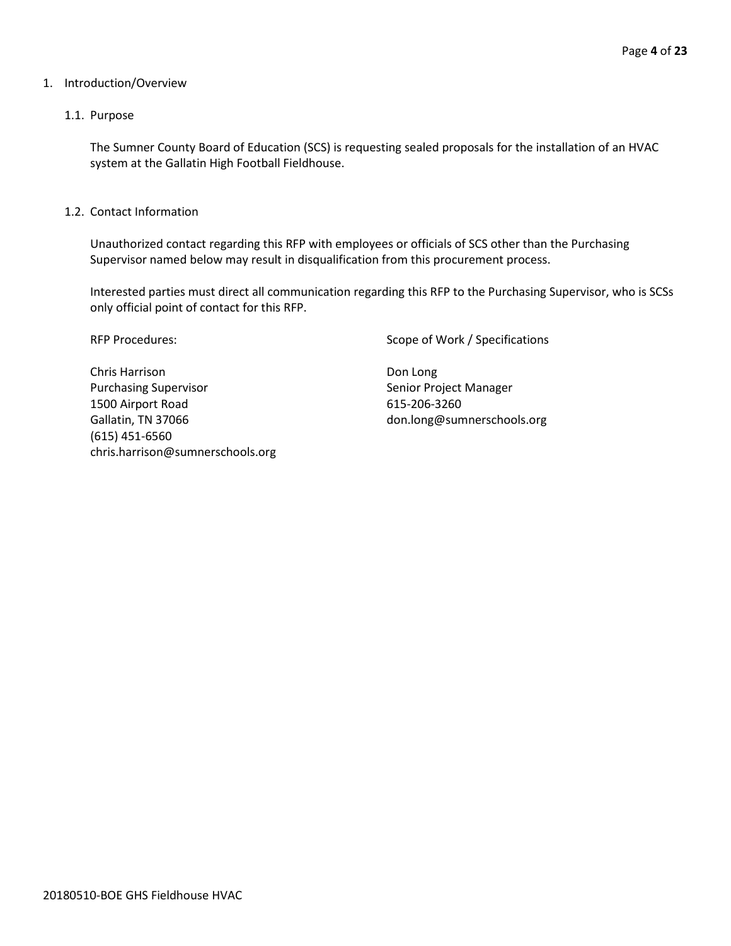# 1. Introduction/Overview

# 1.1. Purpose

The Sumner County Board of Education (SCS) is requesting sealed proposals for the installation of an HVAC system at the Gallatin High Football Fieldhouse.

1.2. Contact Information

Unauthorized contact regarding this RFP with employees or officials of SCS other than the Purchasing Supervisor named below may result in disqualification from this procurement process.

Interested parties must direct all communication regarding this RFP to the Purchasing Supervisor, who is SCSs only official point of contact for this RFP.

Chris Harrison **Don Long** Purchasing Supervisor Senior Project Manager 1500 Airport Road 615-206-3260 Gallatin, TN 37066 don.long@sumnerschools.org (615) 451-6560 chris.harrison@sumnerschools.org

RFP Procedures: Scope of Work / Specifications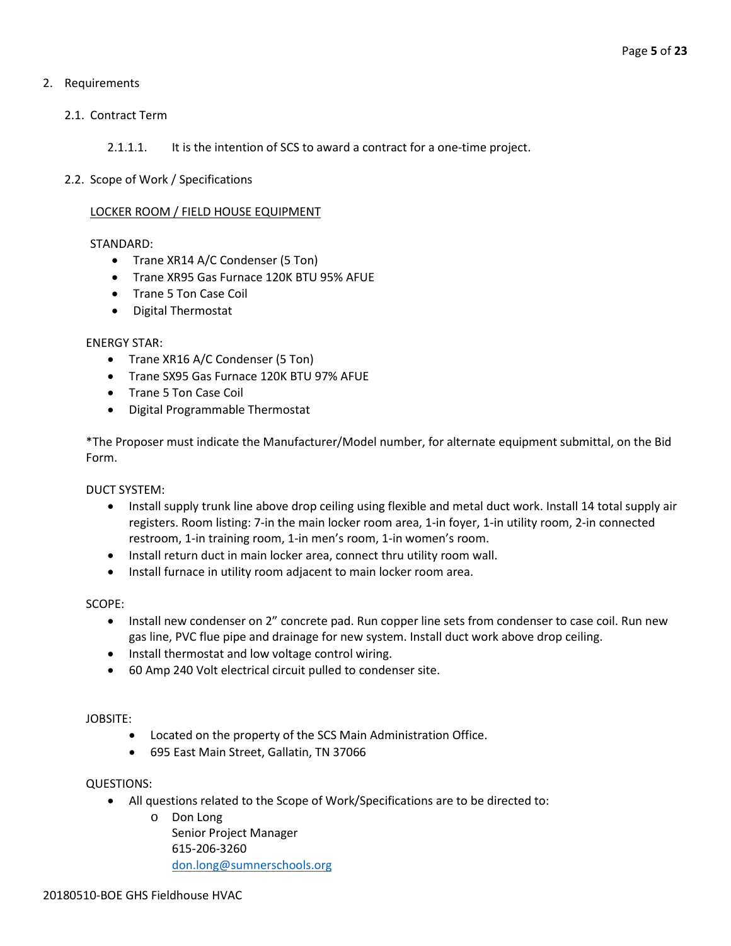# 2. Requirements

2.1. Contract Term

2.1.1.1. It is the intention of SCS to award a contract for a one-time project.

2.2. Scope of Work / Specifications

# LOCKER ROOM / FIELD HOUSE EQUIPMENT

# STANDARD:

- Trane XR14 A/C Condenser (5 Ton)
- Trane XR95 Gas Furnace 120K BTU 95% AFUE
- Trane 5 Ton Case Coil
- Digital Thermostat

# ENERGY STAR:

- Trane XR16 A/C Condenser (5 Ton)
- Trane SX95 Gas Furnace 120K BTU 97% AFUE
- Trane 5 Ton Case Coil
- Digital Programmable Thermostat

\*The Proposer must indicate the Manufacturer/Model number, for alternate equipment submittal, on the Bid Form.

DUCT SYSTEM:

- Install supply trunk line above drop ceiling using flexible and metal duct work. Install 14 total supply air registers. Room listing: 7-in the main locker room area, 1-in foyer, 1-in utility room, 2-in connected restroom, 1-in training room, 1-in men's room, 1-in women's room.
- Install return duct in main locker area, connect thru utility room wall.
- Install furnace in utility room adjacent to main locker room area.

SCOPE:

- Install new condenser on 2" concrete pad. Run copper line sets from condenser to case coil. Run new gas line, PVC flue pipe and drainage for new system. Install duct work above drop ceiling.
- Install thermostat and low voltage control wiring.
- 60 Amp 240 Volt electrical circuit pulled to condenser site.

# JOBSITE:

- Located on the property of the SCS Main Administration Office.
- 695 East Main Street, Gallatin, TN 37066

# QUESTIONS:

- All questions related to the Scope of Work/Specifications are to be directed to:
	- o Don Long Senior Project Manager 615-206-3260 [don.long@sumnerschools.org](mailto:don.long@sumnerschools.org)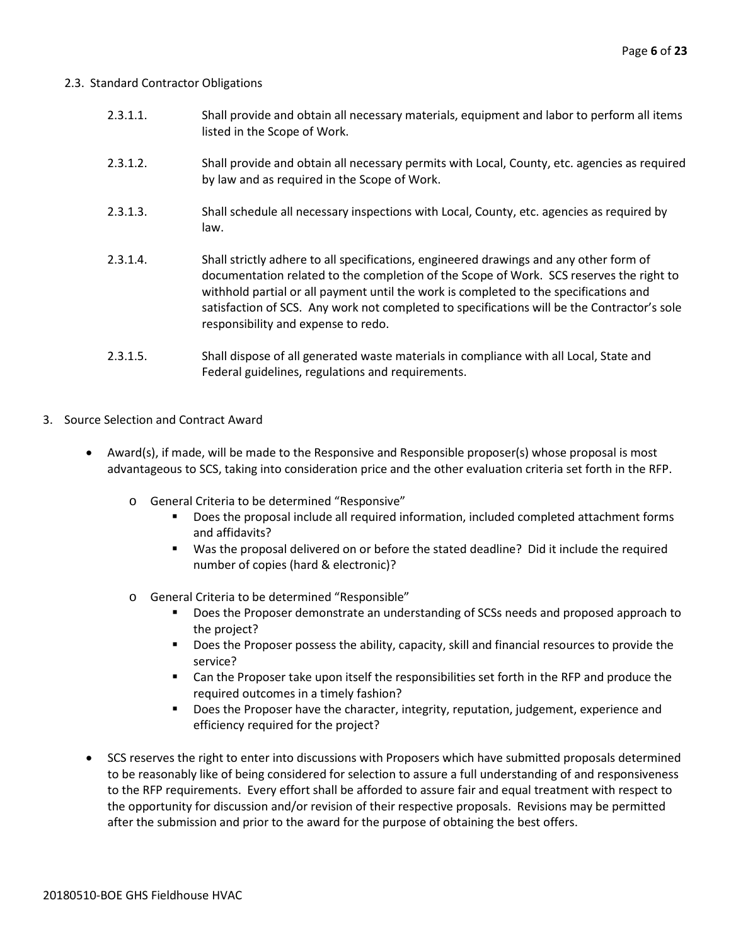# 2.3. Standard Contractor Obligations

- 2.3.1.1. Shall provide and obtain all necessary materials, equipment and labor to perform all items listed in the Scope of Work.
- 2.3.1.2. Shall provide and obtain all necessary permits with Local, County, etc. agencies as required by law and as required in the Scope of Work.
- 2.3.1.3. Shall schedule all necessary inspections with Local, County, etc. agencies as required by law.
- 2.3.1.4. Shall strictly adhere to all specifications, engineered drawings and any other form of documentation related to the completion of the Scope of Work. SCS reserves the right to withhold partial or all payment until the work is completed to the specifications and satisfaction of SCS. Any work not completed to specifications will be the Contractor's sole responsibility and expense to redo.
- 2.3.1.5. Shall dispose of all generated waste materials in compliance with all Local, State and Federal guidelines, regulations and requirements.
- 3. Source Selection and Contract Award
	- Award(s), if made, will be made to the Responsive and Responsible proposer(s) whose proposal is most advantageous to SCS, taking into consideration price and the other evaluation criteria set forth in the RFP.
		- o General Criteria to be determined "Responsive"
			- Does the proposal include all required information, included completed attachment forms and affidavits?
			- Was the proposal delivered on or before the stated deadline? Did it include the required number of copies (hard & electronic)?
		- o General Criteria to be determined "Responsible"
			- Does the Proposer demonstrate an understanding of SCSs needs and proposed approach to the project?
			- Does the Proposer possess the ability, capacity, skill and financial resources to provide the service?
			- Can the Proposer take upon itself the responsibilities set forth in the RFP and produce the required outcomes in a timely fashion?
			- **Does the Proposer have the character, integrity, reputation, judgement, experience and** efficiency required for the project?
	- SCS reserves the right to enter into discussions with Proposers which have submitted proposals determined to be reasonably like of being considered for selection to assure a full understanding of and responsiveness to the RFP requirements. Every effort shall be afforded to assure fair and equal treatment with respect to the opportunity for discussion and/or revision of their respective proposals. Revisions may be permitted after the submission and prior to the award for the purpose of obtaining the best offers.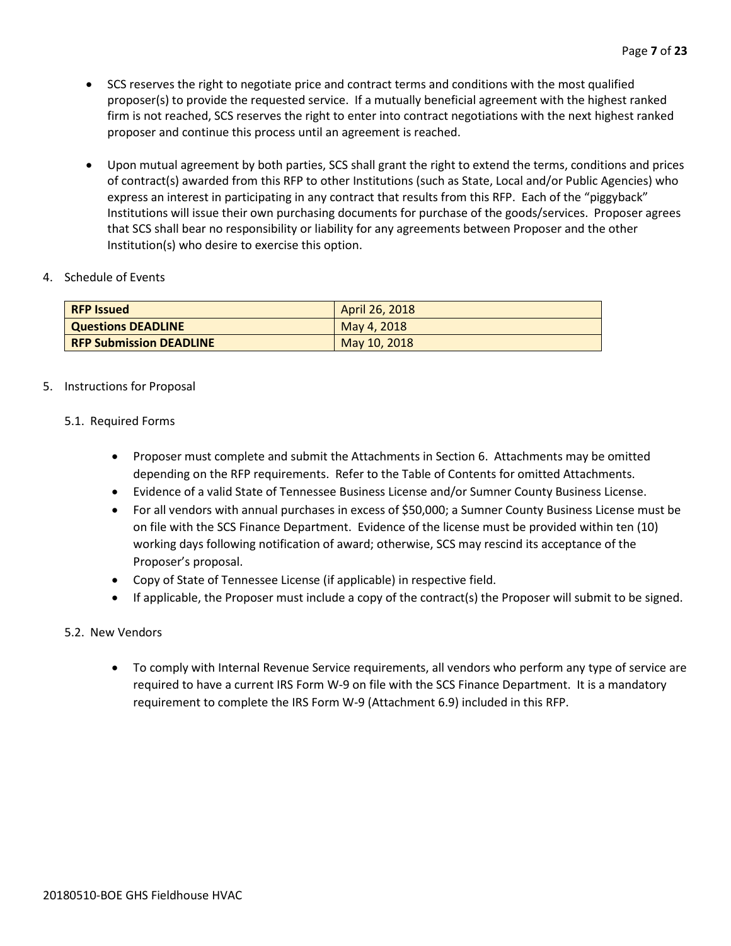- SCS reserves the right to negotiate price and contract terms and conditions with the most qualified proposer(s) to provide the requested service. If a mutually beneficial agreement with the highest ranked firm is not reached, SCS reserves the right to enter into contract negotiations with the next highest ranked proposer and continue this process until an agreement is reached.
- Upon mutual agreement by both parties, SCS shall grant the right to extend the terms, conditions and prices of contract(s) awarded from this RFP to other Institutions (such as State, Local and/or Public Agencies) who express an interest in participating in any contract that results from this RFP. Each of the "piggyback" Institutions will issue their own purchasing documents for purchase of the goods/services. Proposer agrees that SCS shall bear no responsibility or liability for any agreements between Proposer and the other Institution(s) who desire to exercise this option.

# 4. Schedule of Events

| <b>RFP Issued</b>              | April 26, 2018 |
|--------------------------------|----------------|
| <b>Questions DEADLINE</b>      | May 4, 2018    |
| <b>RFP Submission DEADLINE</b> | May 10, 2018   |

# 5. Instructions for Proposal

# 5.1. Required Forms

- Proposer must complete and submit the Attachments in Section 6. Attachments may be omitted depending on the RFP requirements. Refer to the Table of Contents for omitted Attachments.
- Evidence of a valid State of Tennessee Business License and/or Sumner County Business License.
- For all vendors with annual purchases in excess of \$50,000; a Sumner County Business License must be on file with the SCS Finance Department. Evidence of the license must be provided within ten (10) working days following notification of award; otherwise, SCS may rescind its acceptance of the Proposer's proposal.
- Copy of State of Tennessee License (if applicable) in respective field.
- If applicable, the Proposer must include a copy of the contract(s) the Proposer will submit to be signed.

# 5.2. New Vendors

• To comply with Internal Revenue Service requirements, all vendors who perform any type of service are required to have a current IRS Form W-9 on file with the SCS Finance Department. It is a mandatory requirement to complete the IRS Form W-9 (Attachment 6.9) included in this RFP.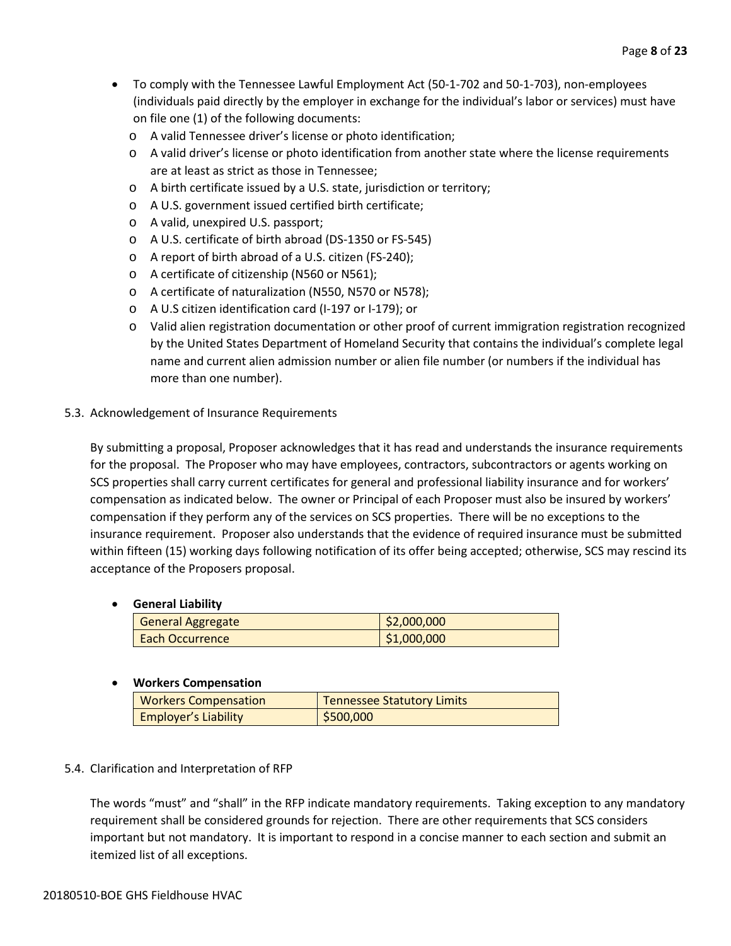- To comply with the Tennessee Lawful Employment Act (50-1-702 and 50-1-703), non-employees (individuals paid directly by the employer in exchange for the individual's labor or services) must have on file one (1) of the following documents:
	- o A valid Tennessee driver's license or photo identification;
	- o A valid driver's license or photo identification from another state where the license requirements are at least as strict as those in Tennessee;
	- o A birth certificate issued by a U.S. state, jurisdiction or territory;
	- o A U.S. government issued certified birth certificate;
	- o A valid, unexpired U.S. passport;
	- o A U.S. certificate of birth abroad (DS-1350 or FS-545)
	- o A report of birth abroad of a U.S. citizen (FS-240);
	- o A certificate of citizenship (N560 or N561);
	- o A certificate of naturalization (N550, N570 or N578);
	- o A U.S citizen identification card (I-197 or I-179); or
	- o Valid alien registration documentation or other proof of current immigration registration recognized by the United States Department of Homeland Security that contains the individual's complete legal name and current alien admission number or alien file number (or numbers if the individual has more than one number).

# 5.3. Acknowledgement of Insurance Requirements

By submitting a proposal, Proposer acknowledges that it has read and understands the insurance requirements for the proposal. The Proposer who may have employees, contractors, subcontractors or agents working on SCS properties shall carry current certificates for general and professional liability insurance and for workers' compensation as indicated below. The owner or Principal of each Proposer must also be insured by workers' compensation if they perform any of the services on SCS properties. There will be no exceptions to the insurance requirement. Proposer also understands that the evidence of required insurance must be submitted within fifteen (15) working days following notification of its offer being accepted; otherwise, SCS may rescind its acceptance of the Proposers proposal.

# • **General Liability**

| <b>General Aggregate</b> | \$2,000,000 |
|--------------------------|-------------|
| Each Occurrence          | \$1,000,000 |

# • **Workers Compensation**

| <b>Workers Compensation</b> | <b>Tennessee Statutory Limits</b> |
|-----------------------------|-----------------------------------|
| <b>Employer's Liability</b> | \$500,000                         |

# 5.4. Clarification and Interpretation of RFP

The words "must" and "shall" in the RFP indicate mandatory requirements. Taking exception to any mandatory requirement shall be considered grounds for rejection. There are other requirements that SCS considers important but not mandatory. It is important to respond in a concise manner to each section and submit an itemized list of all exceptions.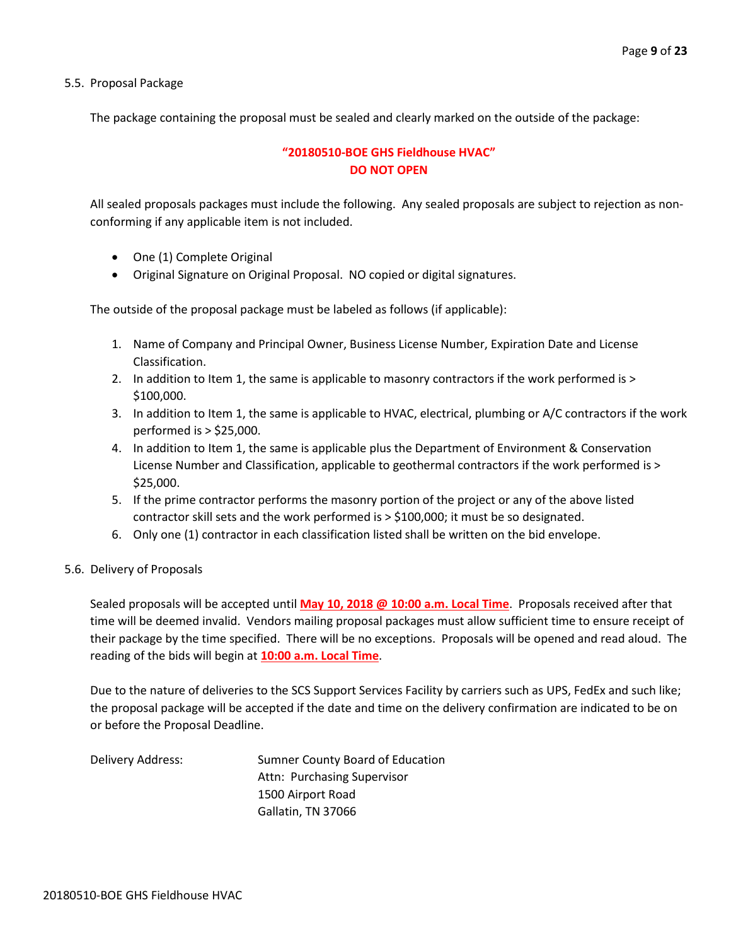5.5. Proposal Package

The package containing the proposal must be sealed and clearly marked on the outside of the package:

# **"20180510-BOE GHS Fieldhouse HVAC" DO NOT OPEN**

All sealed proposals packages must include the following. Any sealed proposals are subject to rejection as nonconforming if any applicable item is not included.

- One (1) Complete Original
- Original Signature on Original Proposal. NO copied or digital signatures.

The outside of the proposal package must be labeled as follows (if applicable):

- 1. Name of Company and Principal Owner, Business License Number, Expiration Date and License Classification.
- 2. In addition to Item 1, the same is applicable to masonry contractors if the work performed is > \$100,000.
- 3. In addition to Item 1, the same is applicable to HVAC, electrical, plumbing or A/C contractors if the work performed is > \$25,000.
- 4. In addition to Item 1, the same is applicable plus the Department of Environment & Conservation License Number and Classification, applicable to geothermal contractors if the work performed is > \$25,000.
- 5. If the prime contractor performs the masonry portion of the project or any of the above listed contractor skill sets and the work performed is > \$100,000; it must be so designated.
- 6. Only one (1) contractor in each classification listed shall be written on the bid envelope.

# 5.6. Delivery of Proposals

Sealed proposals will be accepted until **May 10, 2018 @ 10:00 a.m. Local Time**. Proposals received after that time will be deemed invalid. Vendors mailing proposal packages must allow sufficient time to ensure receipt of their package by the time specified. There will be no exceptions. Proposals will be opened and read aloud. The reading of the bids will begin at **10:00 a.m. Local Time**.

Due to the nature of deliveries to the SCS Support Services Facility by carriers such as UPS, FedEx and such like; the proposal package will be accepted if the date and time on the delivery confirmation are indicated to be on or before the Proposal Deadline.

Delivery Address: Sumner County Board of Education Attn: Purchasing Supervisor 1500 Airport Road Gallatin, TN 37066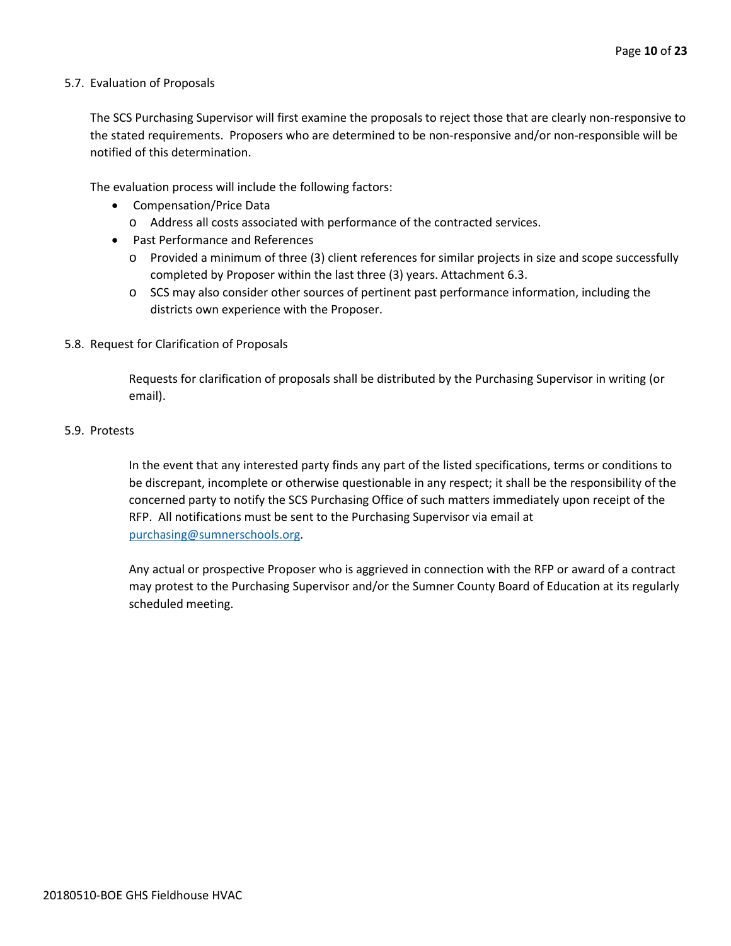# 5.7. Evaluation of Proposals

The SCS Purchasing Supervisor will first examine the proposals to reject those that are clearly non-responsive to the stated requirements. Proposers who are determined to be non-responsive and/or non-responsible will be notified of this determination.

The evaluation process will include the following factors:

- Compensation/Price Data
	- o Address all costs associated with performance of the contracted services.
- Past Performance and References
	- o Provided a minimum of three (3) client references for similar projects in size and scope successfully completed by Proposer within the last three (3) years. Attachment 6.3.
	- o SCS may also consider other sources of pertinent past performance information, including the districts own experience with the Proposer.

# 5.8. Request for Clarification of Proposals

Requests for clarification of proposals shall be distributed by the Purchasing Supervisor in writing (or email).

#### 5.9. Protests

In the event that any interested party finds any part of the listed specifications, terms or conditions to be discrepant, incomplete or otherwise questionable in any respect; it shall be the responsibility of the concerned party to notify the SCS Purchasing Office of such matters immediately upon receipt of the RFP. All notifications must be sent to the Purchasing Supervisor via email at [purchasing@sumnerschools.org.](mailto:purchasing@sumnerschools.org)

Any actual or prospective Proposer who is aggrieved in connection with the RFP or award of a contract may protest to the Purchasing Supervisor and/or the Sumner County Board of Education at its regularly scheduled meeting.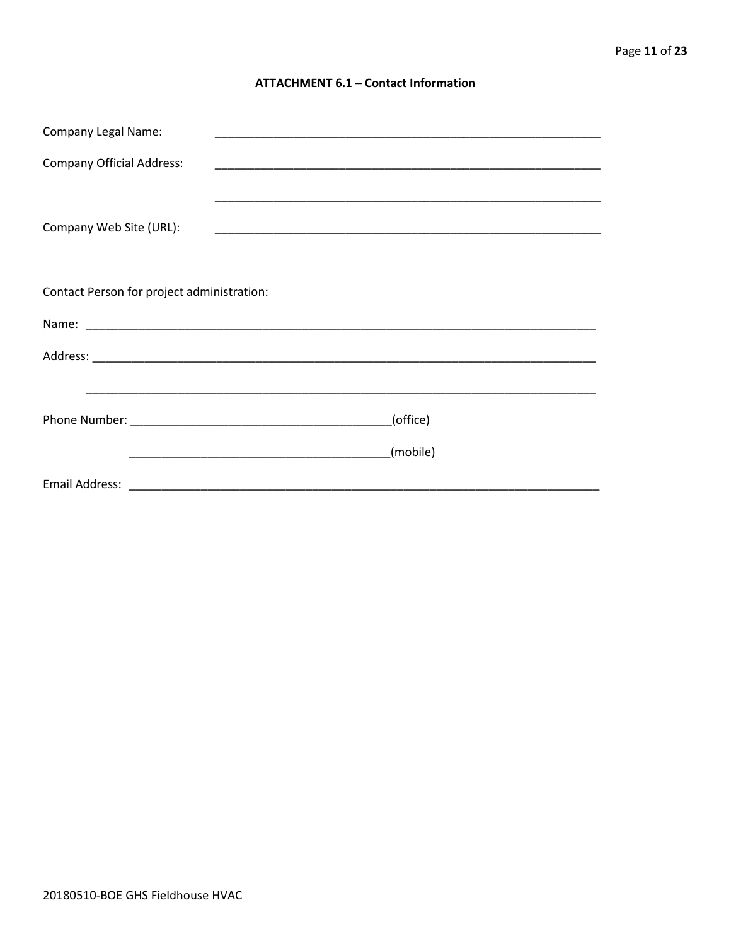# **ATTACHMENT 6.1 - Contact Information**

| <b>Company Legal Name:</b>                 |          |
|--------------------------------------------|----------|
| <b>Company Official Address:</b>           |          |
| Company Web Site (URL):                    |          |
| Contact Person for project administration: |          |
|                                            |          |
|                                            |          |
|                                            |          |
|                                            | (office) |
|                                            | (mobile) |
|                                            |          |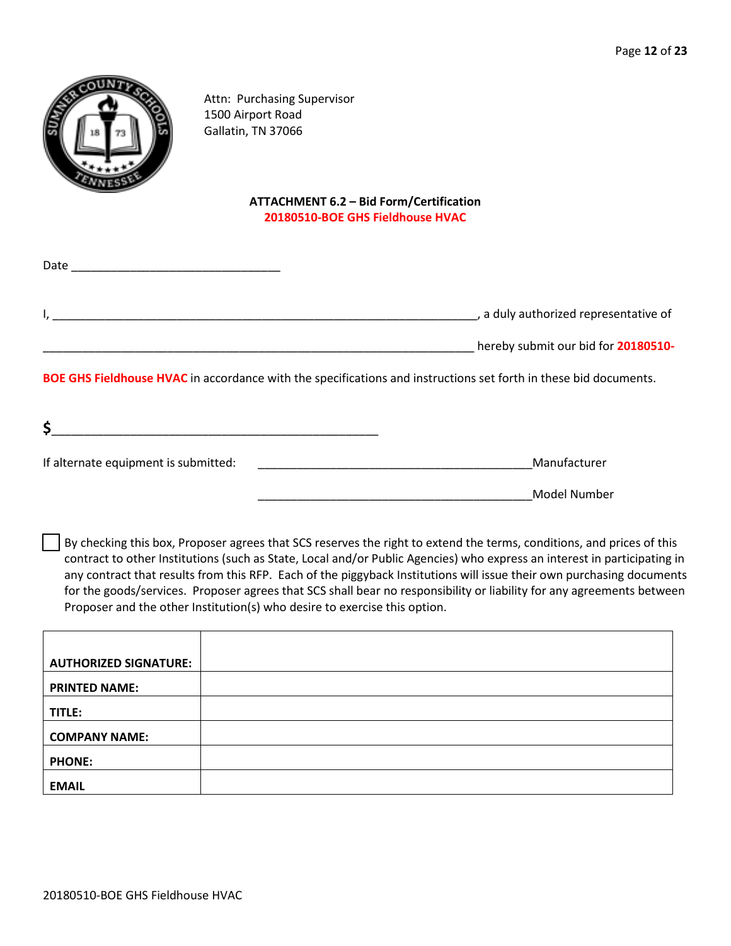

Attn: Purchasing Supervisor 1500 Airport Road Gallatin, TN 37066

# **ATTACHMENT 6.2 – Bid Form/Certification 20180510-BOE GHS Fieldhouse HVAC**

| Date |                                       |
|------|---------------------------------------|
|      | , a duly authorized representative of |
|      | hereby submit our bid for 20180510-   |

**BOE GHS Fieldhouse HVAC** in accordance with the specifications and instructions set forth in these bid documents.

| ت                                    |              |  |
|--------------------------------------|--------------|--|
| If alternate equipment is submitted: | Manufacturer |  |

\_\_\_\_\_\_\_\_\_\_\_\_\_\_\_\_\_\_\_\_\_\_\_\_\_\_\_\_\_\_\_\_\_\_\_\_\_\_\_\_\_\_Model Number

By checking this box, Proposer agrees that SCS reserves the right to extend the terms, conditions, and prices of this contract to other Institutions (such as State, Local and/or Public Agencies) who express an interest in participating in any contract that results from this RFP. Each of the piggyback Institutions will issue their own purchasing documents for the goods/services. Proposer agrees that SCS shall bear no responsibility or liability for any agreements between Proposer and the other Institution(s) who desire to exercise this option.

| <b>AUTHORIZED SIGNATURE:</b> |  |
|------------------------------|--|
| <b>PRINTED NAME:</b>         |  |
| TITLE:                       |  |
| <b>COMPANY NAME:</b>         |  |
| <b>PHONE:</b>                |  |
| <b>EMAIL</b>                 |  |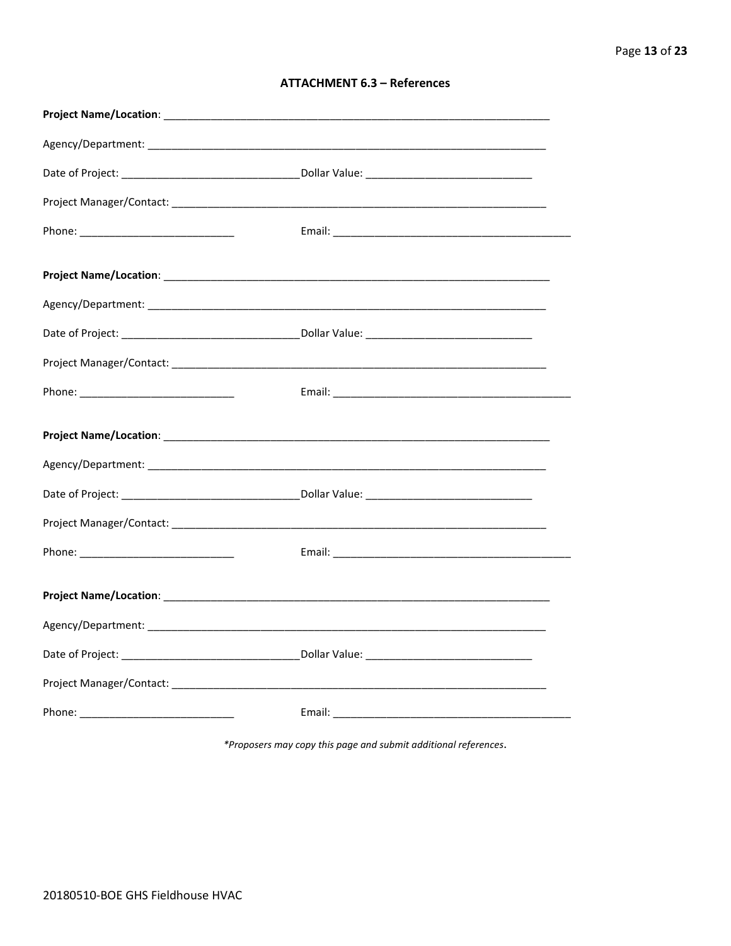| <b>ATTACHMENT 6.3 - References</b> |  |  |
|------------------------------------|--|--|
|------------------------------------|--|--|

\*Proposers may copy this page and submit additional references.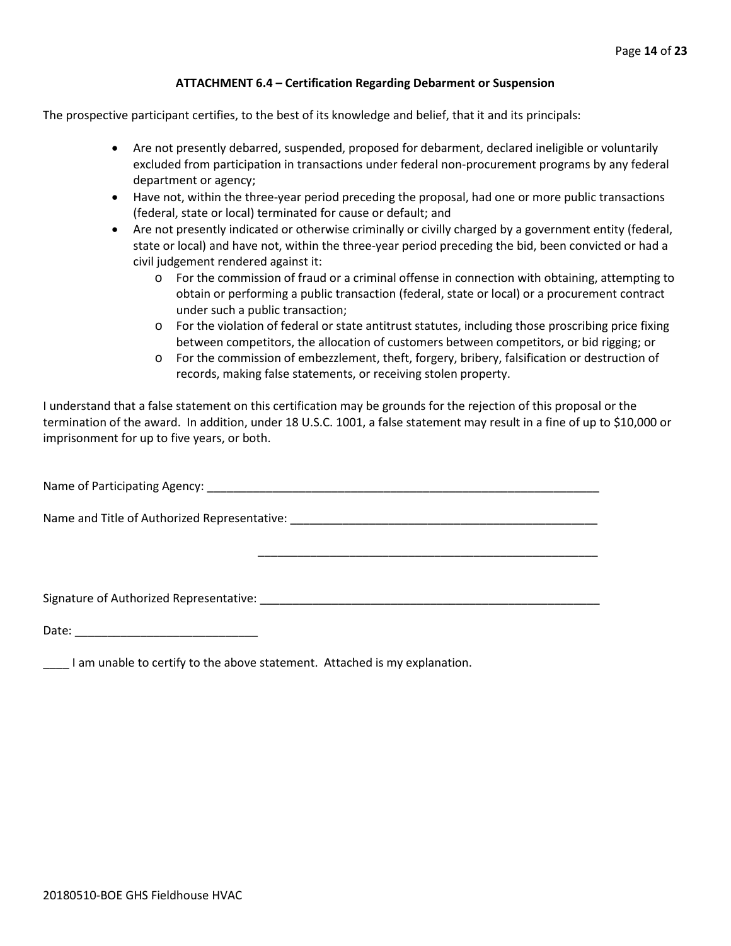# **ATTACHMENT 6.4 – Certification Regarding Debarment or Suspension**

The prospective participant certifies, to the best of its knowledge and belief, that it and its principals:

- Are not presently debarred, suspended, proposed for debarment, declared ineligible or voluntarily excluded from participation in transactions under federal non-procurement programs by any federal department or agency;
- Have not, within the three-year period preceding the proposal, had one or more public transactions (federal, state or local) terminated for cause or default; and
- Are not presently indicated or otherwise criminally or civilly charged by a government entity (federal, state or local) and have not, within the three-year period preceding the bid, been convicted or had a civil judgement rendered against it:
	- o For the commission of fraud or a criminal offense in connection with obtaining, attempting to obtain or performing a public transaction (federal, state or local) or a procurement contract under such a public transaction;
	- o For the violation of federal or state antitrust statutes, including those proscribing price fixing between competitors, the allocation of customers between competitors, or bid rigging; or
	- o For the commission of embezzlement, theft, forgery, bribery, falsification or destruction of records, making false statements, or receiving stolen property.

\_\_\_\_\_\_\_\_\_\_\_\_\_\_\_\_\_\_\_\_\_\_\_\_\_\_\_\_\_\_\_\_\_\_\_\_\_\_\_\_\_\_\_\_\_\_\_\_\_\_\_\_

I understand that a false statement on this certification may be grounds for the rejection of this proposal or the termination of the award. In addition, under 18 U.S.C. 1001, a false statement may result in a fine of up to \$10,000 or imprisonment for up to five years, or both.

Name of Participating Agency: \_\_\_\_\_\_\_\_\_\_\_\_\_\_\_\_\_\_\_\_\_\_\_\_\_\_\_\_\_\_\_\_\_\_\_\_\_\_\_\_\_\_\_\_\_\_\_\_\_\_\_\_\_\_\_\_\_\_\_\_

Name and Title of Authorized Representative: \_\_\_\_\_\_\_\_\_\_\_\_\_\_\_\_\_\_\_\_\_\_\_\_\_\_\_\_\_\_\_\_\_\_\_\_\_\_\_\_\_\_\_\_\_\_\_

Signature of Authorized Representative: \_\_\_\_\_\_\_\_\_\_\_\_\_\_\_\_\_\_\_\_\_\_\_\_\_\_\_\_\_\_\_\_\_\_\_\_\_\_\_\_\_\_\_\_\_\_\_\_\_\_\_\_

Date: \_\_\_\_\_\_\_\_\_\_\_\_\_\_\_\_\_\_\_\_\_\_\_\_\_\_\_\_

\_\_\_\_ I am unable to certify to the above statement. Attached is my explanation.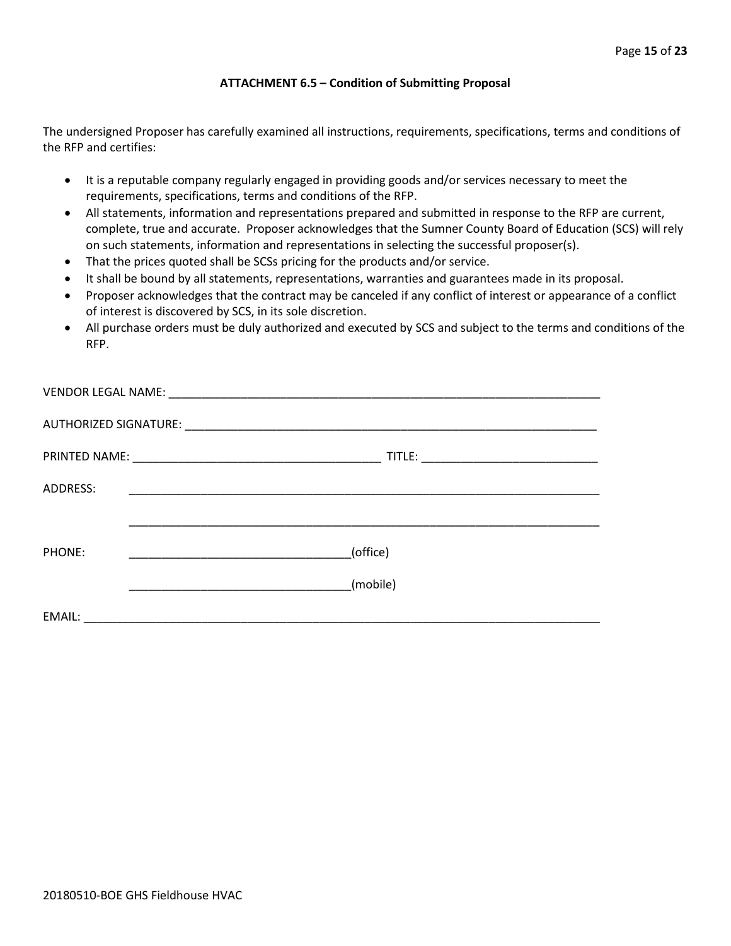# **ATTACHMENT 6.5 – Condition of Submitting Proposal**

The undersigned Proposer has carefully examined all instructions, requirements, specifications, terms and conditions of the RFP and certifies:

- It is a reputable company regularly engaged in providing goods and/or services necessary to meet the requirements, specifications, terms and conditions of the RFP.
- All statements, information and representations prepared and submitted in response to the RFP are current, complete, true and accurate. Proposer acknowledges that the Sumner County Board of Education (SCS) will rely on such statements, information and representations in selecting the successful proposer(s).
- That the prices quoted shall be SCSs pricing for the products and/or service.
- It shall be bound by all statements, representations, warranties and guarantees made in its proposal.
- Proposer acknowledges that the contract may be canceled if any conflict of interest or appearance of a conflict of interest is discovered by SCS, in its sole discretion.
- All purchase orders must be duly authorized and executed by SCS and subject to the terms and conditions of the RFP.

| ADDRESS: |                                                                                                                                  |
|----------|----------------------------------------------------------------------------------------------------------------------------------|
|          |                                                                                                                                  |
| PHONE:   | (office)<br><u> 1990 - Johann Barn, mars ar breithinn ar breithinn ar breithinn ar breithinn ar breithinn ar breithinn ar br</u> |
|          | (mobile)                                                                                                                         |
| EMAIL:   | <u> 1989 - Johann Stein, Amerikaansk politiker (</u>                                                                             |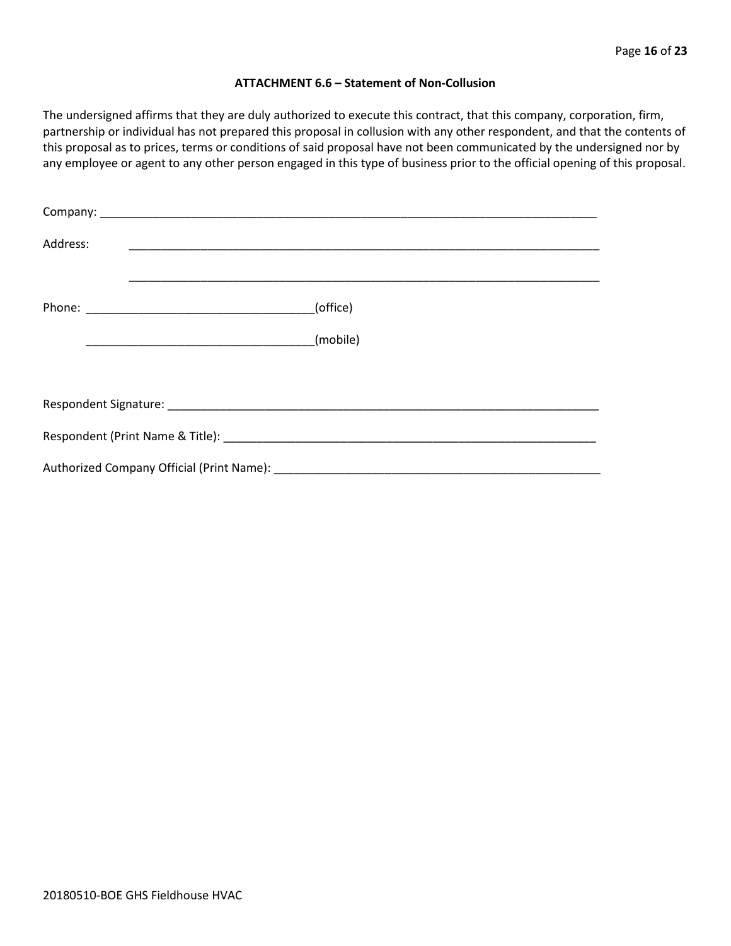### **ATTACHMENT 6.6 – Statement of Non-Collusion**

The undersigned affirms that they are duly authorized to execute this contract, that this company, corporation, firm, partnership or individual has not prepared this proposal in collusion with any other respondent, and that the contents of this proposal as to prices, terms or conditions of said proposal have not been communicated by the undersigned nor by any employee or agent to any other person engaged in this type of business prior to the official opening of this proposal.

| Address: |          |  |  |  |  |
|----------|----------|--|--|--|--|
|          | (office) |  |  |  |  |
|          | (mobile) |  |  |  |  |
|          |          |  |  |  |  |
|          |          |  |  |  |  |
|          |          |  |  |  |  |
|          |          |  |  |  |  |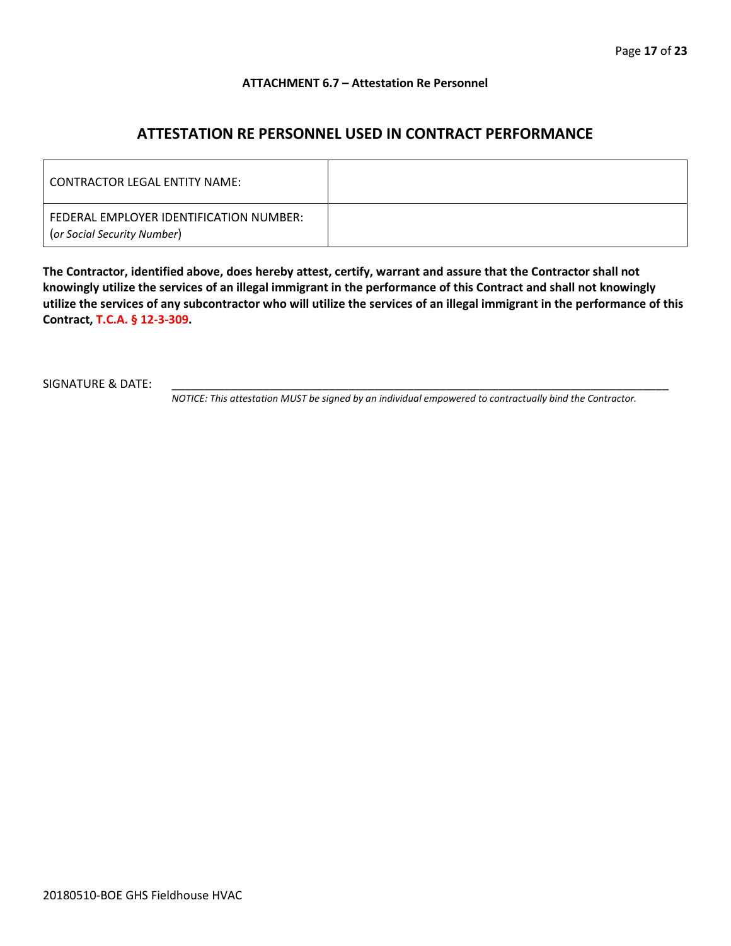# **ATTACHMENT 6.7 – Attestation Re Personnel**

# **ATTESTATION RE PERSONNEL USED IN CONTRACT PERFORMANCE**

| CONTRACTOR LEGAL ENTITY NAME:                                          |  |
|------------------------------------------------------------------------|--|
| FEDERAL EMPLOYER IDENTIFICATION NUMBER:<br>(or Social Security Number) |  |

**The Contractor, identified above, does hereby attest, certify, warrant and assure that the Contractor shall not knowingly utilize the services of an illegal immigrant in the performance of this Contract and shall not knowingly utilize the services of any subcontractor who will utilize the services of an illegal immigrant in the performance of this Contract, T.C.A. § 12-3-309.**

SIGNATURE & DATE:

*NOTICE: This attestation MUST be signed by an individual empowered to contractually bind the Contractor.*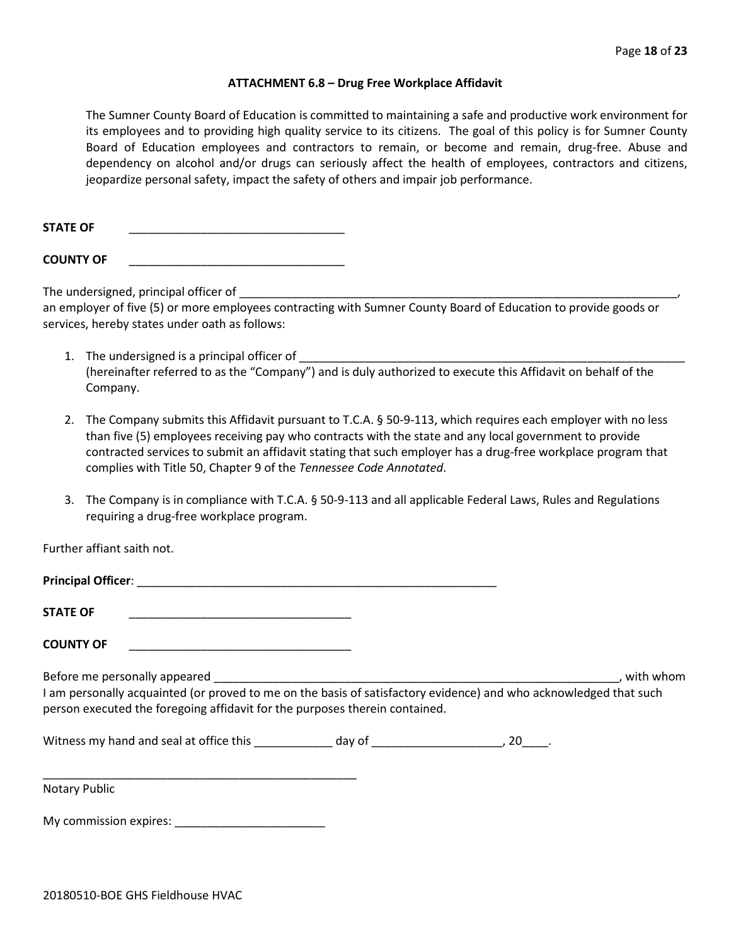#### **ATTACHMENT 6.8 – Drug Free Workplace Affidavit**

The Sumner County Board of Education is committed to maintaining a safe and productive work environment for its employees and to providing high quality service to its citizens. The goal of this policy is for Sumner County Board of Education employees and contractors to remain, or become and remain, drug-free. Abuse and dependency on alcohol and/or drugs can seriously affect the health of employees, contractors and citizens, jeopardize personal safety, impact the safety of others and impair job performance.

STATE OF

**COUNTY OF** \_\_\_\_\_\_\_\_\_\_\_\_\_\_\_\_\_\_\_\_\_\_\_\_\_\_\_\_\_\_\_\_\_

The undersigned, principal officer of

an employer of five (5) or more employees contracting with Sumner County Board of Education to provide goods or services, hereby states under oath as follows:

- 1. The undersigned is a principal officer of (hereinafter referred to as the "Company") and is duly authorized to execute this Affidavit on behalf of the Company.
- 2. The Company submits this Affidavit pursuant to T.C.A. § 50-9-113, which requires each employer with no less than five (5) employees receiving pay who contracts with the state and any local government to provide contracted services to submit an affidavit stating that such employer has a drug-free workplace program that complies with Title 50, Chapter 9 of the *Tennessee Code Annotated*.
- 3. The Company is in compliance with T.C.A. § 50-9-113 and all applicable Federal Laws, Rules and Regulations requiring a drug-free workplace program.

Further affiant saith not.

| <b>STATE OF</b>                                                                                                                                                                                  |  |           |
|--------------------------------------------------------------------------------------------------------------------------------------------------------------------------------------------------|--|-----------|
| <b>COUNTY OF</b>                                                                                                                                                                                 |  |           |
| I am personally acquainted (or proved to me on the basis of satisfactory evidence) and who acknowledged that such<br>person executed the foregoing affidavit for the purposes therein contained. |  | with whom |
|                                                                                                                                                                                                  |  |           |
| <b>Notary Public</b>                                                                                                                                                                             |  |           |

My commission expires: \_\_\_\_\_\_\_\_\_\_\_\_\_\_\_\_\_\_\_\_\_\_\_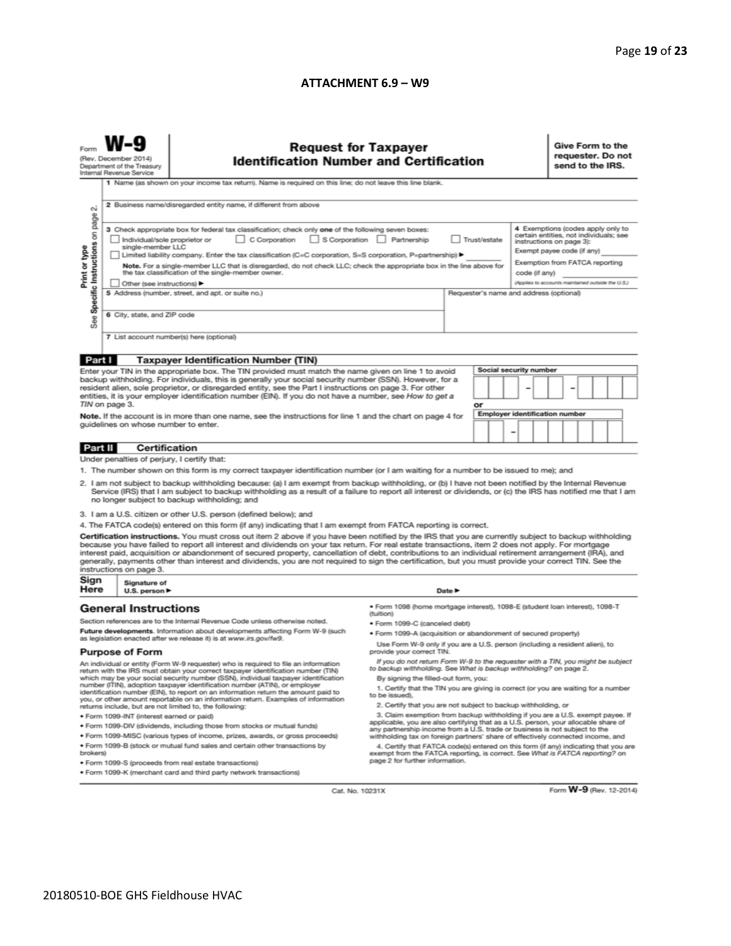# **ATTACHMENT 6.9 – W9**

| <b>Request for Taxpayer</b><br>(Rev. December 2014)<br><b>Identification Number and Certification</b><br>Department of the Treasury<br>Internal Revenue Service<br>1 Name (as shown on your income tax return). Name is required on this line; do not leave this line blank.                                                                                                                                                                                                                                                                                                                                                                                                                                                                                                |                                                                                                                                                                                                                                                                                                                                              |                                                                                                                                                                                                                                                                                                                                                                                    |                                                                                           |        |  |  |                                                                                                                                    |  | Give Form to the<br>requester. Do not<br>send to the IRS. |  |  |  |  |  |
|-----------------------------------------------------------------------------------------------------------------------------------------------------------------------------------------------------------------------------------------------------------------------------------------------------------------------------------------------------------------------------------------------------------------------------------------------------------------------------------------------------------------------------------------------------------------------------------------------------------------------------------------------------------------------------------------------------------------------------------------------------------------------------|----------------------------------------------------------------------------------------------------------------------------------------------------------------------------------------------------------------------------------------------------------------------------------------------------------------------------------------------|------------------------------------------------------------------------------------------------------------------------------------------------------------------------------------------------------------------------------------------------------------------------------------------------------------------------------------------------------------------------------------|-------------------------------------------------------------------------------------------|--------|--|--|------------------------------------------------------------------------------------------------------------------------------------|--|-----------------------------------------------------------|--|--|--|--|--|
| N                                                                                                                                                                                                                                                                                                                                                                                                                                                                                                                                                                                                                                                                                                                                                                           |                                                                                                                                                                                                                                                                                                                                              | 2 Business name/disregarded entity name, if different from above<br>4 Exemptions (codes apply only to<br>3 Check appropriate box for federal tax classification; check only one of the following seven boxes:<br>certain entities, not individuals; see<br>C Corporation<br>S Corporation Partnership<br>Trust/estate<br>Individual/sole proprietor or<br>instructions on page 3): |                                                                                           |        |  |  |                                                                                                                                    |  |                                                           |  |  |  |  |  |
| Specific Instructions on page<br>Print or type                                                                                                                                                                                                                                                                                                                                                                                                                                                                                                                                                                                                                                                                                                                              | single-member LLC<br>Limited liability company. Enter the tax classification (C=C corporation, S=S corporation, P=partnership) ▶<br>Note. For a single-member LLC that is disregarded, do not check LLC; check the appropriate box in the line above for<br>the tax classification of the single-member owner.<br>Other (see instructions) ▶ |                                                                                                                                                                                                                                                                                                                                                                                    |                                                                                           |        |  |  | Exempt payee code (if any)<br>Exemption from FATCA reporting<br>code (if any)<br>(Applies to accounts maintained outside the U.S.) |  |                                                           |  |  |  |  |  |
| See                                                                                                                                                                                                                                                                                                                                                                                                                                                                                                                                                                                                                                                                                                                                                                         | 5 Address (number, street, and apt. or suite no.)<br>Requester's name and address (optional)<br>6 City, state, and ZIP code                                                                                                                                                                                                                  |                                                                                                                                                                                                                                                                                                                                                                                    |                                                                                           |        |  |  |                                                                                                                                    |  |                                                           |  |  |  |  |  |
|                                                                                                                                                                                                                                                                                                                                                                                                                                                                                                                                                                                                                                                                                                                                                                             |                                                                                                                                                                                                                                                                                                                                              | 7 List account number(s) here (optional)                                                                                                                                                                                                                                                                                                                                           |                                                                                           |        |  |  |                                                                                                                                    |  |                                                           |  |  |  |  |  |
| Part I                                                                                                                                                                                                                                                                                                                                                                                                                                                                                                                                                                                                                                                                                                                                                                      |                                                                                                                                                                                                                                                                                                                                              | <b>Taxpayer Identification Number (TIN)</b>                                                                                                                                                                                                                                                                                                                                        |                                                                                           |        |  |  |                                                                                                                                    |  |                                                           |  |  |  |  |  |
| Social security number<br>Enter your TIN in the appropriate box. The TIN provided must match the name given on line 1 to avoid<br>backup withholding. For individuals, this is generally your social security number (SSN). However, for a<br>resident alien, sole proprietor, or disregarded entity, see the Part I instructions on page 3. For other<br>entities, it is your employer identification number (EIN). If you do not have a number, see How to get a                                                                                                                                                                                                                                                                                                          |                                                                                                                                                                                                                                                                                                                                              |                                                                                                                                                                                                                                                                                                                                                                                    |                                                                                           |        |  |  |                                                                                                                                    |  |                                                           |  |  |  |  |  |
| TIN on page 3.<br>or<br>Employer identification number<br>Note. If the account is in more than one name, see the instructions for line 1 and the chart on page 4 for<br>guidelines on whose number to enter.<br>-                                                                                                                                                                                                                                                                                                                                                                                                                                                                                                                                                           |                                                                                                                                                                                                                                                                                                                                              |                                                                                                                                                                                                                                                                                                                                                                                    |                                                                                           |        |  |  |                                                                                                                                    |  |                                                           |  |  |  |  |  |
| Part II                                                                                                                                                                                                                                                                                                                                                                                                                                                                                                                                                                                                                                                                                                                                                                     | <b>Certification</b>                                                                                                                                                                                                                                                                                                                         |                                                                                                                                                                                                                                                                                                                                                                                    |                                                                                           |        |  |  |                                                                                                                                    |  |                                                           |  |  |  |  |  |
|                                                                                                                                                                                                                                                                                                                                                                                                                                                                                                                                                                                                                                                                                                                                                                             | Under penalties of perjury, I certify that:                                                                                                                                                                                                                                                                                                  |                                                                                                                                                                                                                                                                                                                                                                                    |                                                                                           |        |  |  |                                                                                                                                    |  |                                                           |  |  |  |  |  |
| 1. The number shown on this form is my correct taxpayer identification number (or I am waiting for a number to be issued to me); and<br>2. I am not subject to backup withholding because: (a) I am exempt from backup withholding, or (b) I have not been notified by the Internal Revenue<br>Service (IRS) that I am subject to backup withholding as a result of a failure to report all interest or dividends, or (c) the IRS has notified me that I am<br>no longer subject to backup withholding; and                                                                                                                                                                                                                                                                 |                                                                                                                                                                                                                                                                                                                                              |                                                                                                                                                                                                                                                                                                                                                                                    |                                                                                           |        |  |  |                                                                                                                                    |  |                                                           |  |  |  |  |  |
|                                                                                                                                                                                                                                                                                                                                                                                                                                                                                                                                                                                                                                                                                                                                                                             |                                                                                                                                                                                                                                                                                                                                              | 3. I am a U.S. citizen or other U.S. person (defined below); and                                                                                                                                                                                                                                                                                                                   |                                                                                           |        |  |  |                                                                                                                                    |  |                                                           |  |  |  |  |  |
| 4. The FATCA code(s) entered on this form (if any) indicating that I am exempt from FATCA reporting is correct.<br>Certification instructions. You must cross out item 2 above if you have been notified by the IRS that you are currently subject to backup withholding<br>because you have failed to report all interest and dividends on your tax return. For real estate transactions, item 2 does not apply. For mortgage<br>interest paid, acquisition or abandonment of secured property, cancellation of debt, contributions to an individual retirement arrangement (IRA), and<br>generally, payments other than interest and dividends, you are not required to sign the certification, but you must provide your correct TIN. See the<br>instructions on page 3. |                                                                                                                                                                                                                                                                                                                                              |                                                                                                                                                                                                                                                                                                                                                                                    |                                                                                           |        |  |  |                                                                                                                                    |  |                                                           |  |  |  |  |  |
| Sign<br>Here                                                                                                                                                                                                                                                                                                                                                                                                                                                                                                                                                                                                                                                                                                                                                                | Signature of<br>U.S. person ▶                                                                                                                                                                                                                                                                                                                |                                                                                                                                                                                                                                                                                                                                                                                    |                                                                                           | Date P |  |  |                                                                                                                                    |  |                                                           |  |  |  |  |  |
|                                                                                                                                                                                                                                                                                                                                                                                                                                                                                                                                                                                                                                                                                                                                                                             | <b>General Instructions</b>                                                                                                                                                                                                                                                                                                                  |                                                                                                                                                                                                                                                                                                                                                                                    | · Form 1098 (home mortgage interest), 1098-E (student Ioan interest), 1098-T<br>(tuition) |        |  |  |                                                                                                                                    |  |                                                           |  |  |  |  |  |
|                                                                                                                                                                                                                                                                                                                                                                                                                                                                                                                                                                                                                                                                                                                                                                             |                                                                                                                                                                                                                                                                                                                                              | Section references are to the Internal Revenue Code unless otherwise noted.                                                                                                                                                                                                                                                                                                        | • Form 1099-C (canceled debt)                                                             |        |  |  |                                                                                                                                    |  |                                                           |  |  |  |  |  |
| Future developments. Information about developments affecting Form W-9 (such<br>as legislation enacted after we release it) is at www.irs.gov/fw9.                                                                                                                                                                                                                                                                                                                                                                                                                                                                                                                                                                                                                          |                                                                                                                                                                                                                                                                                                                                              | . Form 1099-A (acquisition or abandonment of secured property)<br>Use Form W-9 only if you are a U.S. person (including a resident alien), to                                                                                                                                                                                                                                      |                                                                                           |        |  |  |                                                                                                                                    |  |                                                           |  |  |  |  |  |
| <b>Purpose of Form</b>                                                                                                                                                                                                                                                                                                                                                                                                                                                                                                                                                                                                                                                                                                                                                      |                                                                                                                                                                                                                                                                                                                                              |                                                                                                                                                                                                                                                                                                                                                                                    | provide your correct TIN.                                                                 |        |  |  |                                                                                                                                    |  |                                                           |  |  |  |  |  |
| If you do not return Form W-9 to the requester with a TIN, you might be subject<br>An individual or entity (Form W-9 requester) who is required to file an information<br>to backup withholding. See What is backup withholding? on page 2.<br>return with the IRS must obtain your correct taxpayer identification number (TIN)<br>which may be your social security number (SSN), individual taxpayer identification<br>By signing the filled-out form, you:                                                                                                                                                                                                                                                                                                              |                                                                                                                                                                                                                                                                                                                                              |                                                                                                                                                                                                                                                                                                                                                                                    |                                                                                           |        |  |  |                                                                                                                                    |  |                                                           |  |  |  |  |  |
| number (ITIN), adoption taxpayer identification number (ATIN), or employer<br>1. Certify that the TIN you are giving is correct (or you are waiting for a number<br>identification number (EIN), to report on an information return the amount paid to<br>to be issued).<br>you, or other amount reportable on an information return. Examples of information                                                                                                                                                                                                                                                                                                                                                                                                               |                                                                                                                                                                                                                                                                                                                                              |                                                                                                                                                                                                                                                                                                                                                                                    |                                                                                           |        |  |  |                                                                                                                                    |  |                                                           |  |  |  |  |  |
| 2. Certify that you are not subject to backup withholding, or<br>returns include, but are not limited to, the following:                                                                                                                                                                                                                                                                                                                                                                                                                                                                                                                                                                                                                                                    |                                                                                                                                                                                                                                                                                                                                              |                                                                                                                                                                                                                                                                                                                                                                                    |                                                                                           |        |  |  |                                                                                                                                    |  |                                                           |  |  |  |  |  |
| 3. Claim exemption from backup withholding if you are a U.S. exempt payee. If<br>· Form 1099-INT (interest earned or paid)<br>applicable, you are also certifying that as a U.S. person, your allocable share of                                                                                                                                                                                                                                                                                                                                                                                                                                                                                                                                                            |                                                                                                                                                                                                                                                                                                                                              |                                                                                                                                                                                                                                                                                                                                                                                    |                                                                                           |        |  |  |                                                                                                                                    |  |                                                           |  |  |  |  |  |
| . Form 1099-DIV (dividends, including those from stocks or mutual funds)<br>. Form 1099-MISC (various types of income, prizes, awards, or gross proceeds)                                                                                                                                                                                                                                                                                                                                                                                                                                                                                                                                                                                                                   |                                                                                                                                                                                                                                                                                                                                              |                                                                                                                                                                                                                                                                                                                                                                                    | any partnership income from a U.S. trade or business is not subject to the                |        |  |  |                                                                                                                                    |  |                                                           |  |  |  |  |  |
| withholding tax on foreign partners' share of effectively connected income, and<br>. Form 1099-B (stock or mutual fund sales and certain other transactions by<br>4. Certify that FATCA code(s) entered on this form (if any) indicating that you are<br>brokers)<br>exempt from the FATCA reporting, is correct. See What is FATCA reporting? on<br>page 2 for further information.<br>· Form 1099-S (proceeds from real estate transactions)                                                                                                                                                                                                                                                                                                                              |                                                                                                                                                                                                                                                                                                                                              |                                                                                                                                                                                                                                                                                                                                                                                    |                                                                                           |        |  |  |                                                                                                                                    |  |                                                           |  |  |  |  |  |
| . Form 1099-K (merchant card and third party network transactions)                                                                                                                                                                                                                                                                                                                                                                                                                                                                                                                                                                                                                                                                                                          |                                                                                                                                                                                                                                                                                                                                              |                                                                                                                                                                                                                                                                                                                                                                                    |                                                                                           |        |  |  |                                                                                                                                    |  |                                                           |  |  |  |  |  |

Cat. No. 10231X

Form **W-9** (Rev. 12-2014)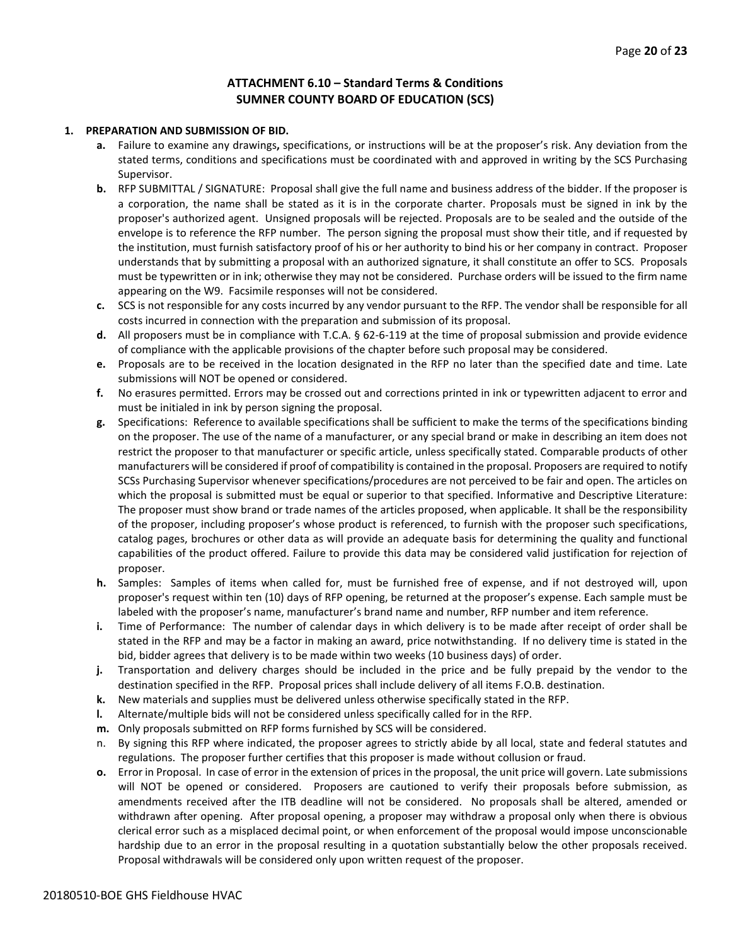# **ATTACHMENT 6.10 – Standard Terms & Conditions SUMNER COUNTY BOARD OF EDUCATION (SCS)**

#### **1. PREPARATION AND SUBMISSION OF BID.**

- **a.** Failure to examine any drawings**,** specifications, or instructions will be at the proposer's risk. Any deviation from the stated terms, conditions and specifications must be coordinated with and approved in writing by the SCS Purchasing Supervisor.
- **b.** RFP SUBMITTAL / SIGNATURE: Proposal shall give the full name and business address of the bidder. If the proposer is a corporation, the name shall be stated as it is in the corporate charter. Proposals must be signed in ink by the proposer's authorized agent. Unsigned proposals will be rejected. Proposals are to be sealed and the outside of the envelope is to reference the RFP number. The person signing the proposal must show their title, and if requested by the institution, must furnish satisfactory proof of his or her authority to bind his or her company in contract. Proposer understands that by submitting a proposal with an authorized signature, it shall constitute an offer to SCS. Proposals must be typewritten or in ink; otherwise they may not be considered. Purchase orders will be issued to the firm name appearing on the W9. Facsimile responses will not be considered.
- **c.** SCS is not responsible for any costs incurred by any vendor pursuant to the RFP. The vendor shall be responsible for all costs incurred in connection with the preparation and submission of its proposal.
- **d.** All proposers must be in compliance with T.C.A. § 62-6-119 at the time of proposal submission and provide evidence of compliance with the applicable provisions of the chapter before such proposal may be considered.
- **e.** Proposals are to be received in the location designated in the RFP no later than the specified date and time. Late submissions will NOT be opened or considered.
- **f.** No erasures permitted. Errors may be crossed out and corrections printed in ink or typewritten adjacent to error and must be initialed in ink by person signing the proposal.
- **g.** Specifications: Reference to available specifications shall be sufficient to make the terms of the specifications binding on the proposer. The use of the name of a manufacturer, or any special brand or make in describing an item does not restrict the proposer to that manufacturer or specific article, unless specifically stated. Comparable products of other manufacturers will be considered if proof of compatibility is contained in the proposal. Proposers are required to notify SCSs Purchasing Supervisor whenever specifications/procedures are not perceived to be fair and open. The articles on which the proposal is submitted must be equal or superior to that specified. Informative and Descriptive Literature: The proposer must show brand or trade names of the articles proposed, when applicable. It shall be the responsibility of the proposer, including proposer's whose product is referenced, to furnish with the proposer such specifications, catalog pages, brochures or other data as will provide an adequate basis for determining the quality and functional capabilities of the product offered. Failure to provide this data may be considered valid justification for rejection of proposer.
- **h.** Samples: Samples of items when called for, must be furnished free of expense, and if not destroyed will, upon proposer's request within ten (10) days of RFP opening, be returned at the proposer's expense. Each sample must be labeled with the proposer's name, manufacturer's brand name and number, RFP number and item reference.
- **i.** Time of Performance: The number of calendar days in which delivery is to be made after receipt of order shall be stated in the RFP and may be a factor in making an award, price notwithstanding. If no delivery time is stated in the bid, bidder agrees that delivery is to be made within two weeks (10 business days) of order.
- **j.** Transportation and delivery charges should be included in the price and be fully prepaid by the vendor to the destination specified in the RFP. Proposal prices shall include delivery of all items F.O.B. destination.
- **k.** New materials and supplies must be delivered unless otherwise specifically stated in the RFP.
- **l.** Alternate/multiple bids will not be considered unless specifically called for in the RFP.
- **m.** Only proposals submitted on RFP forms furnished by SCS will be considered.
- n. By signing this RFP where indicated, the proposer agrees to strictly abide by all local, state and federal statutes and regulations. The proposer further certifies that this proposer is made without collusion or fraud.
- **o.** Error in Proposal. In case of error in the extension of prices in the proposal, the unit price will govern. Late submissions will NOT be opened or considered. Proposers are cautioned to verify their proposals before submission, as amendments received after the ITB deadline will not be considered. No proposals shall be altered, amended or withdrawn after opening. After proposal opening, a proposer may withdraw a proposal only when there is obvious clerical error such as a misplaced decimal point, or when enforcement of the proposal would impose unconscionable hardship due to an error in the proposal resulting in a quotation substantially below the other proposals received. Proposal withdrawals will be considered only upon written request of the proposer.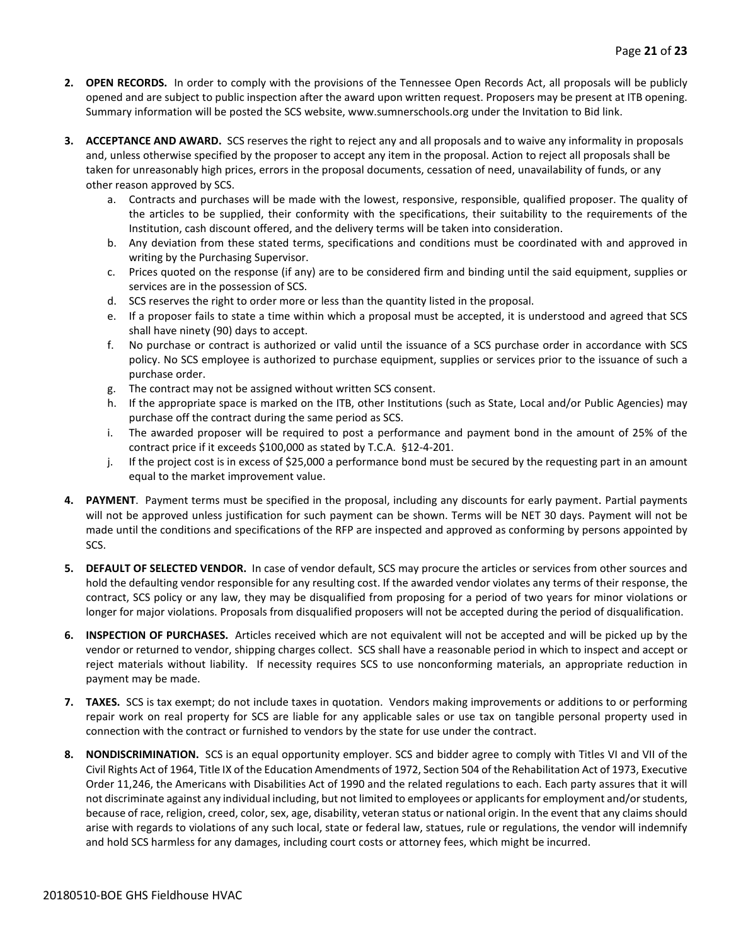- **2. OPEN RECORDS.** In order to comply with the provisions of the Tennessee Open Records Act, all proposals will be publicly opened and are subject to public inspection after the award upon written request. Proposers may be present at ITB opening. Summary information will be posted the SCS website, www.sumnerschools.org under the Invitation to Bid link.
- **3. ACCEPTANCE AND AWARD.** SCS reserves the right to reject any and all proposals and to waive any informality in proposals and, unless otherwise specified by the proposer to accept any item in the proposal. Action to reject all proposals shall be taken for unreasonably high prices, errors in the proposal documents, cessation of need, unavailability of funds, or any other reason approved by SCS.
	- a. Contracts and purchases will be made with the lowest, responsive, responsible, qualified proposer. The quality of the articles to be supplied, their conformity with the specifications, their suitability to the requirements of the Institution, cash discount offered, and the delivery terms will be taken into consideration.
	- b. Any deviation from these stated terms, specifications and conditions must be coordinated with and approved in writing by the Purchasing Supervisor.
	- c. Prices quoted on the response (if any) are to be considered firm and binding until the said equipment, supplies or services are in the possession of SCS.
	- d. SCS reserves the right to order more or less than the quantity listed in the proposal.
	- e. If a proposer fails to state a time within which a proposal must be accepted, it is understood and agreed that SCS shall have ninety (90) days to accept.
	- f. No purchase or contract is authorized or valid until the issuance of a SCS purchase order in accordance with SCS policy. No SCS employee is authorized to purchase equipment, supplies or services prior to the issuance of such a purchase order.
	- g. The contract may not be assigned without written SCS consent.
	- h. If the appropriate space is marked on the ITB, other Institutions (such as State, Local and/or Public Agencies) may purchase off the contract during the same period as SCS.
	- i. The awarded proposer will be required to post a performance and payment bond in the amount of 25% of the contract price if it exceeds \$100,000 as stated by T.C.A. §12-4-201.
	- j. If the project cost is in excess of \$25,000 a performance bond must be secured by the requesting part in an amount equal to the market improvement value.
- **4. PAYMENT**. Payment terms must be specified in the proposal, including any discounts for early payment. Partial payments will not be approved unless justification for such payment can be shown. Terms will be NET 30 days. Payment will not be made until the conditions and specifications of the RFP are inspected and approved as conforming by persons appointed by SCS.
- **5. DEFAULT OF SELECTED VENDOR.** In case of vendor default, SCS may procure the articles or services from other sources and hold the defaulting vendor responsible for any resulting cost. If the awarded vendor violates any terms of their response, the contract, SCS policy or any law, they may be disqualified from proposing for a period of two years for minor violations or longer for major violations. Proposals from disqualified proposers will not be accepted during the period of disqualification.
- **6. INSPECTION OF PURCHASES.** Articles received which are not equivalent will not be accepted and will be picked up by the vendor or returned to vendor, shipping charges collect. SCS shall have a reasonable period in which to inspect and accept or reject materials without liability. If necessity requires SCS to use nonconforming materials, an appropriate reduction in payment may be made.
- **7. TAXES.** SCS is tax exempt; do not include taxes in quotation. Vendors making improvements or additions to or performing repair work on real property for SCS are liable for any applicable sales or use tax on tangible personal property used in connection with the contract or furnished to vendors by the state for use under the contract.
- **8. NONDISCRIMINATION.** SCS is an equal opportunity employer. SCS and bidder agree to comply with Titles VI and VII of the Civil Rights Act of 1964, Title IX of the Education Amendments of 1972, Section 504 of the Rehabilitation Act of 1973, Executive Order 11,246, the Americans with Disabilities Act of 1990 and the related regulations to each. Each party assures that it will not discriminate against any individual including, but not limited to employees or applicants for employment and/or students, because of race, religion, creed, color, sex, age, disability, veteran status or national origin. In the event that any claims should arise with regards to violations of any such local, state or federal law, statues, rule or regulations, the vendor will indemnify and hold SCS harmless for any damages, including court costs or attorney fees, which might be incurred.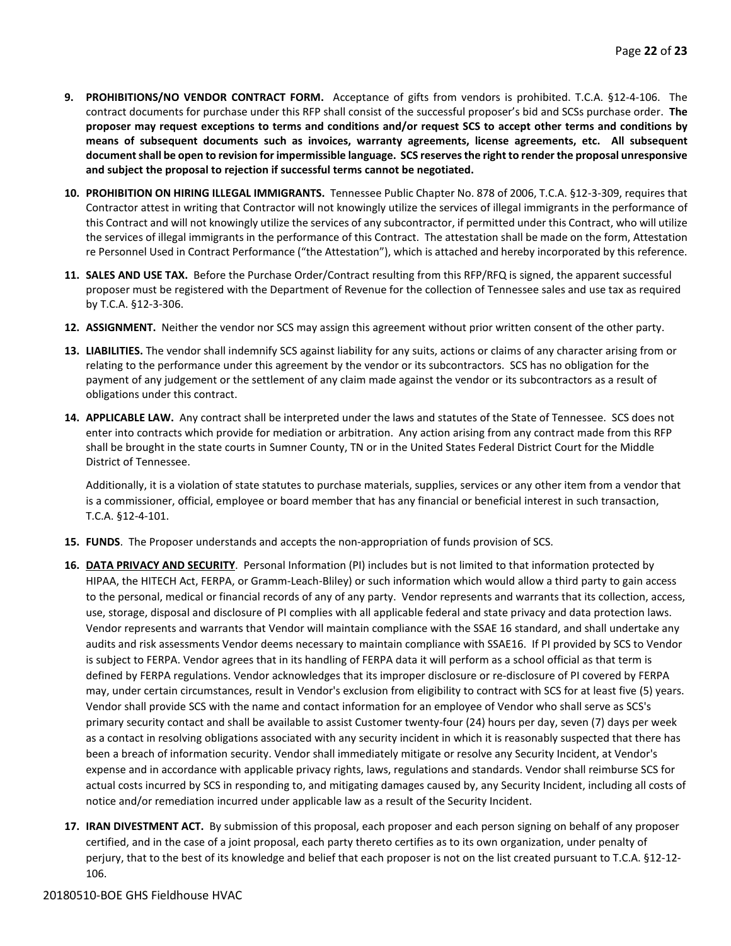- **9. PROHIBITIONS/NO VENDOR CONTRACT FORM.** Acceptance of gifts from vendors is prohibited. T.C.A. §12-4-106. The contract documents for purchase under this RFP shall consist of the successful proposer's bid and SCSs purchase order. **The proposer may request exceptions to terms and conditions and/or request SCS to accept other terms and conditions by means of subsequent documents such as invoices, warranty agreements, license agreements, etc. All subsequent document shall be open to revision for impermissible language. SCS reserves the right to render the proposal unresponsive and subject the proposal to rejection if successful terms cannot be negotiated.**
- **10. PROHIBITION ON HIRING ILLEGAL IMMIGRANTS.** Tennessee Public Chapter No. 878 of 2006, T.C.A. §12-3-309, requires that Contractor attest in writing that Contractor will not knowingly utilize the services of illegal immigrants in the performance of this Contract and will not knowingly utilize the services of any subcontractor, if permitted under this Contract, who will utilize the services of illegal immigrants in the performance of this Contract. The attestation shall be made on the form, Attestation re Personnel Used in Contract Performance ("the Attestation"), which is attached and hereby incorporated by this reference.
- **11. SALES AND USE TAX.** Before the Purchase Order/Contract resulting from this RFP/RFQ is signed, the apparent successful proposer must be registered with the Department of Revenue for the collection of Tennessee sales and use tax as required by T.C.A. §12-3-306.
- **12. ASSIGNMENT.** Neither the vendor nor SCS may assign this agreement without prior written consent of the other party.
- **13. LIABILITIES.** The vendor shall indemnify SCS against liability for any suits, actions or claims of any character arising from or relating to the performance under this agreement by the vendor or its subcontractors. SCS has no obligation for the payment of any judgement or the settlement of any claim made against the vendor or its subcontractors as a result of obligations under this contract.
- **14. APPLICABLE LAW.** Any contract shall be interpreted under the laws and statutes of the State of Tennessee. SCS does not enter into contracts which provide for mediation or arbitration. Any action arising from any contract made from this RFP shall be brought in the state courts in Sumner County, TN or in the United States Federal District Court for the Middle District of Tennessee.

Additionally, it is a violation of state statutes to purchase materials, supplies, services or any other item from a vendor that is a commissioner, official, employee or board member that has any financial or beneficial interest in such transaction, T.C.A. §12-4-101.

- **15. FUNDS**. The Proposer understands and accepts the non-appropriation of funds provision of SCS.
- **16. DATA PRIVACY AND SECURITY**. Personal Information (PI) includes but is not limited to that information protected by HIPAA, the HITECH Act, FERPA, or Gramm-Leach-Bliley) or such information which would allow a third party to gain access to the personal, medical or financial records of any of any party. Vendor represents and warrants that its collection, access, use, storage, disposal and disclosure of PI complies with all applicable federal and state privacy and data protection laws. Vendor represents and warrants that Vendor will maintain compliance with the SSAE 16 standard, and shall undertake any audits and risk assessments Vendor deems necessary to maintain compliance with SSAE16. If PI provided by SCS to Vendor is subject to FERPA. Vendor agrees that in its handling of FERPA data it will perform as a school official as that term is defined by FERPA regulations. Vendor acknowledges that its improper disclosure or re-disclosure of PI covered by FERPA may, under certain circumstances, result in Vendor's exclusion from eligibility to contract with SCS for at least five (5) years. Vendor shall provide SCS with the name and contact information for an employee of Vendor who shall serve as SCS's primary security contact and shall be available to assist Customer twenty-four (24) hours per day, seven (7) days per week as a contact in resolving obligations associated with any security incident in which it is reasonably suspected that there has been a breach of information security. Vendor shall immediately mitigate or resolve any Security Incident, at Vendor's expense and in accordance with applicable privacy rights, laws, regulations and standards. Vendor shall reimburse SCS for actual costs incurred by SCS in responding to, and mitigating damages caused by, any Security Incident, including all costs of notice and/or remediation incurred under applicable law as a result of the Security Incident.
- **17. IRAN DIVESTMENT ACT.** By submission of this proposal, each proposer and each person signing on behalf of any proposer certified, and in the case of a joint proposal, each party thereto certifies as to its own organization, under penalty of perjury, that to the best of its knowledge and belief that each proposer is not on the list created pursuant to T.C.A. §12-12- 106.